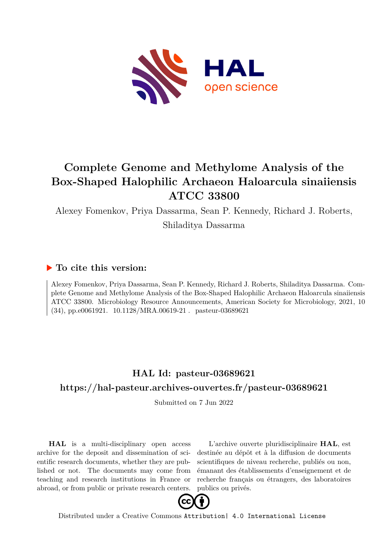

# **Complete Genome and Methylome Analysis of the Box-Shaped Halophilic Archaeon Haloarcula sinaiiensis ATCC 33800**

Alexey Fomenkov, Priya Dassarma, Sean P. Kennedy, Richard J. Roberts,

Shiladitya Dassarma

#### **To cite this version:**

Alexey Fomenkov, Priya Dassarma, Sean P. Kennedy, Richard J. Roberts, Shiladitya Dassarma. Complete Genome and Methylome Analysis of the Box-Shaped Halophilic Archaeon Haloarcula sinaiiensis ATCC 33800. Microbiology Resource Announcements, American Society for Microbiology, 2021, 10  $(34)$ , pp.e0061921. 10.1128/MRA.00619-21 . pasteur-03689621

### **HAL Id: pasteur-03689621 <https://hal-pasteur.archives-ouvertes.fr/pasteur-03689621>**

Submitted on 7 Jun 2022

**HAL** is a multi-disciplinary open access archive for the deposit and dissemination of scientific research documents, whether they are published or not. The documents may come from teaching and research institutions in France or abroad, or from public or private research centers.

L'archive ouverte pluridisciplinaire **HAL**, est destinée au dépôt et à la diffusion de documents scientifiques de niveau recherche, publiés ou non, émanant des établissements d'enseignement et de recherche français ou étrangers, des laboratoires publics ou privés.



Distributed under a Creative Commons [Attribution| 4.0 International License](http://creativecommons.org/licenses/by/4.0/)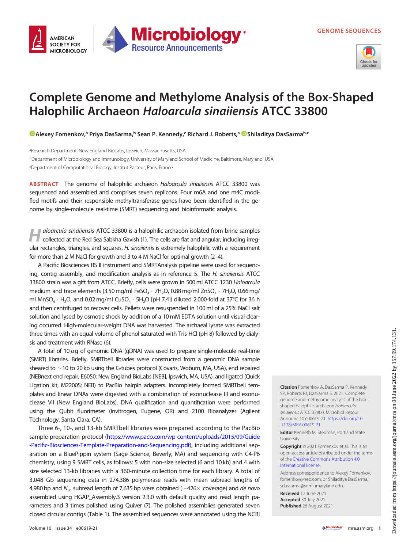

## Complete Genome and Methylome Analysis of the Box-Shaped Halophilic Archaeon Haloarcula sinaiiensis ATCC 33800

**Microbiology** 

**Resource Announcements** 

[Alexey Fomenkov](https://orcid.org/0000-0002-2463-5946),ª Priya DasSarma,<sup>ь</sup> Sean P. Kennedy,< Richard J. Roberts,ª <mark>©</mark>Shiladitya DasSarma<sup>b.c</sup>

aResearch Department, New England BioLabs, Ipswich, Massachusetts, USA bDepartment of Microbiology and Immunology, University of Maryland School of Medicine, Baltimore, Maryland, USA cDepartment of Computational Biology, Institut Pasteur, Paris, France

ABSTRACT The genome of halophilic archaeon Haloarcula sinaiiensis ATCC 33800 was sequenced and assembled and comprises seven replicons. Four m6A and one m4C modified motifs and their responsible methyltransferase genes have been identified in the genome by single-molecule real-time (SMRT) sequencing and bioinformatic analysis.

aloarcula sinaiiensis ATCC 33800 is a halophilic archaeon isolated from brine samples collected at the Red Sea Sabkha Gavish (1). The cells are flat and angular, including irregular rectangles, triangles, and squares. H. sinaiiensis is extremely halophilic with a requirement for more than 2 M NaCl for growth and 3 to 4 M NaCl for optimal growth (2–4).

A Pacific Biosciences RS II instrument and SMRTAnalysis pipeline were used for sequencing, contig assembly, and modification analysis as in reference 5. The H. sinaiiensis ATCC 33800 strain was a gift from ATCC. Briefly, cells were grown in 500 ml ATCC 1230 Haloarcula medium and trace elements (3.50 mg/ml FeSO<sub>4</sub>  $\cdot$  7H<sub>2</sub>O, 0.88 mg/ml ZnSO<sub>4</sub>  $\cdot$  7H<sub>2</sub>O, 0.66 mg/ ml MnSO<sub>4</sub>  $\cdot$  H<sub>2</sub>O, and 0.02 mg/ml CuSO<sub>4</sub>  $\cdot$  5H<sub>2</sub>O [pH 7.4]) diluted 2,000-fold at 37°C for 36 h and then centrifuged to recover cells. Pellets were resuspended in 100ml of a 25% NaCl salt solution and lysed by osmotic shock by addition of a 10mM EDTA solution until visual clearing occurred. High-molecular-weight DNA was harvested. The archaeal lysate was extracted three times with an equal volume of phenol saturated with Tris-HCl (pH 8) followed by dialysis and treatment with RNase (6).

A total of 10 $\mu$ g of genomic DNA (gDNA) was used to prepare single-molecule real-time (SMRT) libraries. Briefly, SMRTbell libraries were constructed from a genomic DNA sample sheared to  $\sim$  10 to 20 kb using the G-tubes protocol (Covaris, Woburn, MA, USA), end repaired (NEBnext end repair, E6050; New England BioLabs [NEB], Ipswich, MA, USA), and ligated (Quick Ligation kit, M2200S; NEB) to PacBio hairpin adapters. Incompletely formed SMRTbell templates and linear DNAs were digested with a combination of exonuclease III and exonuclease VII (New England BioLabs). DNA qualification and quantification were performed using the Qubit fluorimeter (Invitrogen, Eugene, OR) and 2100 Bioanalyzer (Agilent Technology, Santa Clara, CA).

Three 6-, 10-, and 13-kb SMRTbell libraries were prepared according to the PacBio sample preparation protocol [\(https://www.pacb.com/wp-content/uploads/2015/09/Guide](https://www.pacb.com/wp-content/uploads/2015/09/Guide-Pacific-Biosciences-Template-Preparation-and-Sequencing.pdf) -Pacifi[c-Biosciences-Template-Preparation-and-Sequencing.pdf\)](https://www.pacb.com/wp-content/uploads/2015/09/Guide-Pacific-Biosciences-Template-Preparation-and-Sequencing.pdf), including additional separation on a BluePippin system (Sage Science, Beverly, MA) and sequencing with C4-P6 chemistry, using 9 SMRT cells, as follows: 5 with non-size selected (6 and 10 kb) and 4 with size selected 13-kb libraries with a 360-minute collection time for each library. A total of 3,048 Gb sequencing data in 274,386 polymerase reads with mean subread lengths of 4,980 bp and  $N_{50}$  subread length of 7,635 bp were obtained ( $\sim$ 426 $\times$  coverage) and de novo assembled using HGAP\_Assembly.3 version 2.3.0 with default quality and read length parameters and 3 times polished using Quiver (7). The polished assemblies generated seven closed circular contigs (Table 1). The assembled sequences were annotated using the NCBI Citation Fomenkov A, DasSarma P, Kennedy SP, Roberts RJ, DasSarma S. 2021. Complete genome and methylome analysis of the boxshaped halophilic archaeon Haloarcula sinaiiensis ATCC 33800. Microbiol Resour Announc 10:e00619-21. [https://doi.org/10](https://doi.org/10.1128/MRA.00619-21) [.1128/MRA.00619-21.](https://doi.org/10.1128/MRA.00619-21)

Editor Kenneth M. Stedman, Portland State University

Copyright © 2021 Fomenkov et al. This is an open-access article distributed under the terms of the [Creative Commons Attribution 4.0](https://creativecommons.org/licenses/by/4.0/) [International license](https://creativecommons.org/licenses/by/4.0/).

Address correspondence to Alexey Fomenkov, fomenkov@neb.com, or Shiladitya DasSarma, sdassarma@som.umaryland.edu.

Received 17 June 2021 Accepted 30 July 2021 Published 26 August 2021

**AMFRICAN SOCIETY FOR** 

**MICROBIOLOGY**